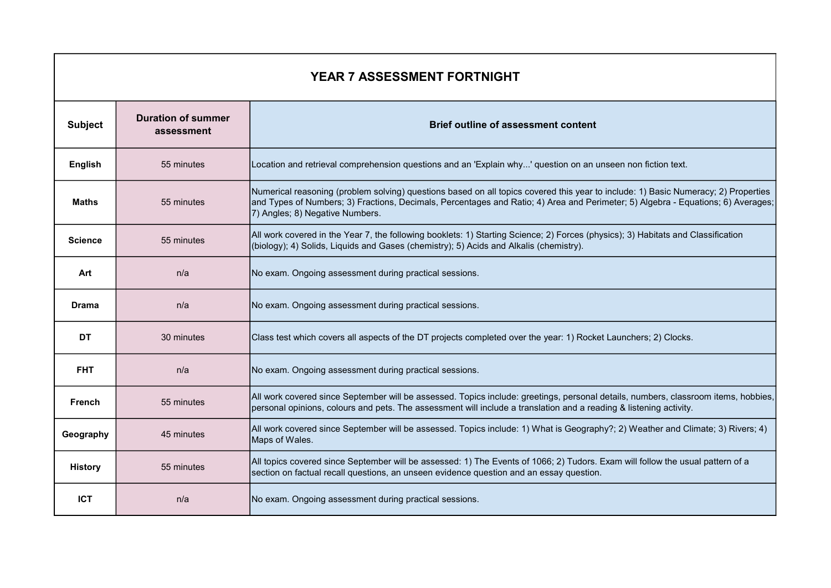| <b>YEAR 7 ASSESSMENT FORTNIGHT</b> |                                         |                                                                                                                                                                                                                                                                                                            |  |
|------------------------------------|-----------------------------------------|------------------------------------------------------------------------------------------------------------------------------------------------------------------------------------------------------------------------------------------------------------------------------------------------------------|--|
| <b>Subject</b>                     | <b>Duration of summer</b><br>assessment | <b>Brief outline of assessment content</b>                                                                                                                                                                                                                                                                 |  |
| English                            | 55 minutes                              | Location and retrieval comprehension questions and an 'Explain why' question on an unseen non fiction text.                                                                                                                                                                                                |  |
| <b>Maths</b>                       | 55 minutes                              | Numerical reasoning (problem solving) questions based on all topics covered this year to include: 1) Basic Numeracy; 2) Properties<br> and Types of Numbers; 3) Fractions, Decimals, Percentages and Ratio; 4) Area and Perimeter; 5) Algebra - Equations; 6) Averages;<br>7) Angles; 8) Negative Numbers. |  |
| <b>Science</b>                     | 55 minutes                              | All work covered in the Year 7, the following booklets: 1) Starting Science; 2) Forces (physics); 3) Habitats and Classification<br>(biology); 4) Solids, Liquids and Gases (chemistry); 5) Acids and Alkalis (chemistry).                                                                                 |  |
| Art                                | n/a                                     | No exam. Ongoing assessment during practical sessions.                                                                                                                                                                                                                                                     |  |
| Drama                              | n/a                                     | No exam. Ongoing assessment during practical sessions.                                                                                                                                                                                                                                                     |  |
| <b>DT</b>                          | 30 minutes                              | Class test which covers all aspects of the DT projects completed over the year: 1) Rocket Launchers; 2) Clocks.                                                                                                                                                                                            |  |
| <b>FHT</b>                         | n/a                                     | No exam. Ongoing assessment during practical sessions.                                                                                                                                                                                                                                                     |  |
| <b>French</b>                      | 55 minutes                              | All work covered since September will be assessed. Topics include: greetings, personal details, numbers, classroom items, hobbies,<br>personal opinions, colours and pets. The assessment will include a translation and a reading & listening activity.                                                   |  |
| Geography                          | 45 minutes                              | All work covered since September will be assessed. Topics include: 1) What is Geography?; 2) Weather and Climate; 3) Rivers; 4)<br>Maps of Wales.                                                                                                                                                          |  |
| <b>History</b>                     | 55 minutes                              | All topics covered since September will be assessed: 1) The Events of 1066; 2) Tudors. Exam will follow the usual pattern of a<br>section on factual recall questions, an unseen evidence question and an essay question.                                                                                  |  |
| <b>ICT</b>                         | n/a                                     | No exam. Ongoing assessment during practical sessions.                                                                                                                                                                                                                                                     |  |